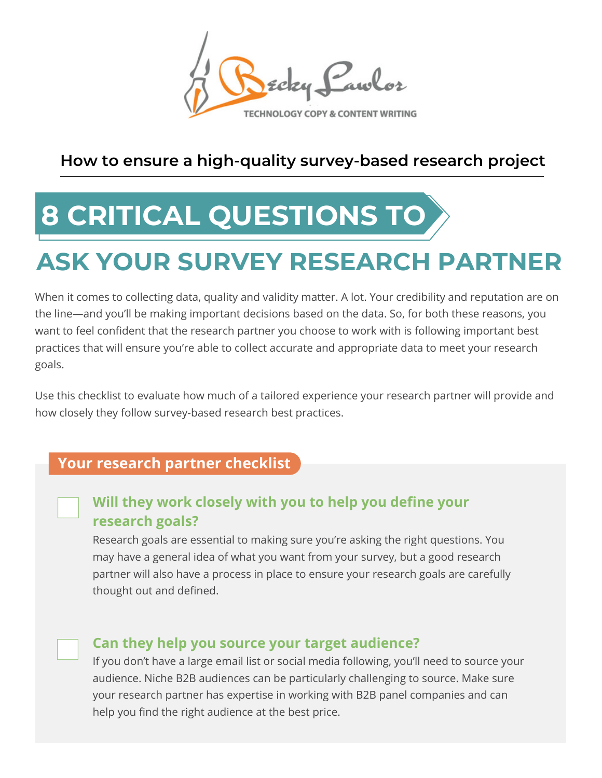Ecky Pawlor

### **How to ensure a high-quality survey-based research project**

# **8 CRITICAL QUESTIONS TO**

## **ASK YOUR SURVEY RESEARCH PART**

When it comes to collecting data, quality and validity matter. A lot. Your credibility and reputation are on the line—and you'll be making important decisions based on the data. So, for both these reasons, you want to feel confident that the research partner you choose to work with is following important best practices that will ensure you're able to collect accurate and appropriate data to meet your research goals.

Use this checklist to evaluate how much of a tailored experience your research partner will provide and how closely they follow survey-based research best practices.

#### **Your research partner checklist**

#### **Will they work closely with you to help you define your research goals?**

Research goals are essential to making sure you're asking the right questions. You may have a general idea of what you want from your survey, but a good research partner will also have a process in place to ensure your research goals are carefully thought out and defined.

#### **Can they help you source your target audience?**

If you don't have a large email list or social media following, you'll need to source your audience. Niche B2B audiences can be particularly challenging to source. Make sure your research partner has expertise in working with B2B panel companies and can help you find the right audience at the best price.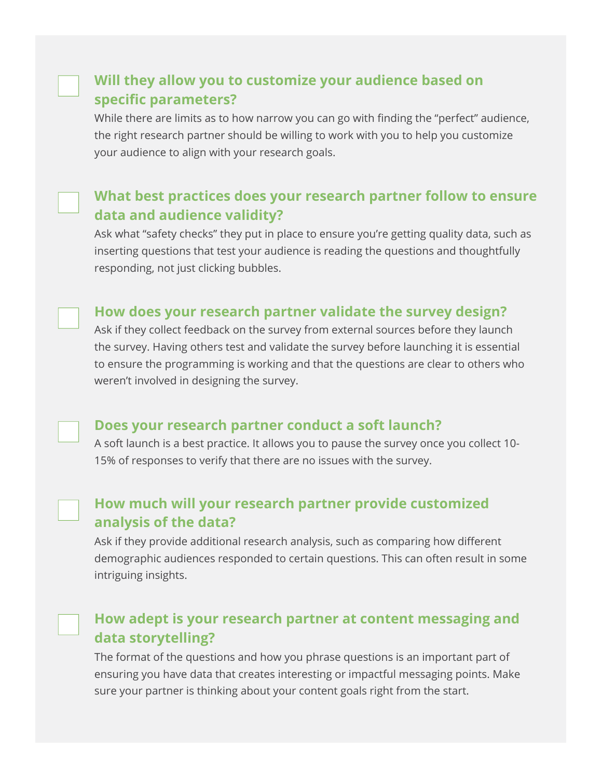#### **Will they allow you to customize your audience based on specific parameters?**

While there are limits as to how narrow you can go with finding the "perfect" audience, the right research partner should be willing to work with you to help you customize your audience to align with your research goals.

#### **What best practices does your research partner follow to ensure data and audience validity?**

Ask what "safety checks" they put in place to ensure you're getting quality data, such as inserting questions that test your audience is reading the questions and thoughtfully responding, not just clicking bubbles.

#### **How does your research partner validate the survey design?**

Ask if they collect feedback on the survey from external sources before they launch the survey. Having others test and validate the survey before launching it is essential to ensure the programming is working and that the questions are clear to others who weren't involved in designing the survey.

#### **Does your research partner conduct a soft launch?**

A soft launch is a best practice. It allows you to pause the survey once you collect 10- 15% of responses to verify that there are no issues with the survey.

#### **How much will your research partner provide customized analysis of the data?**

Ask if they provide additional research analysis, such as comparing how different demographic audiences responded to certain questions. This can often result in some intriguing insights.

#### **How adept is your research partner at content messaging and data storytelling?**

The format of the questions and how you phrase questions is an important part of ensuring you have data that creates interesting or impactful messaging points. Make sure your partner is thinking about your content goals right from the start.